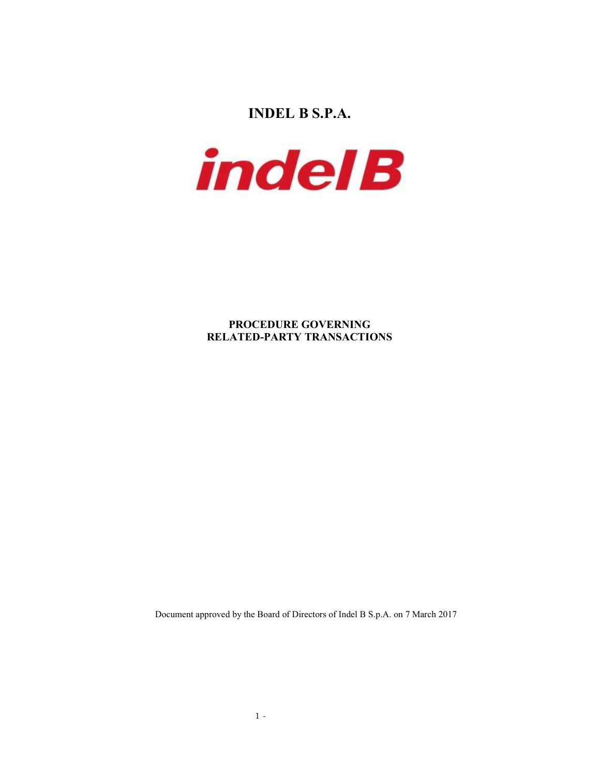INDEL B S.P.A.



PROCEDURE GOVERNING RELATED-PARTY TRANSACTIONS

Document approved by the Board of Directors of Indel B S.p.A. on 7 March 2017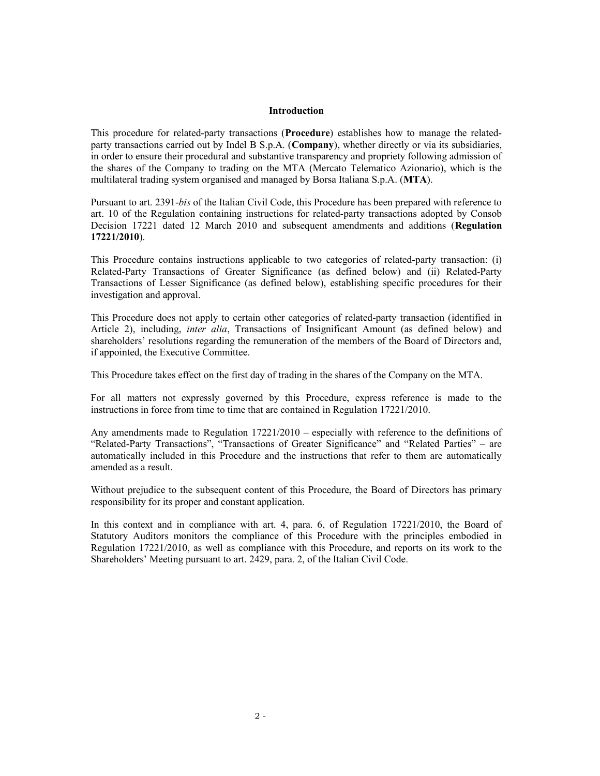#### Introduction

This procedure for related-party transactions (Procedure) establishes how to manage the relatedparty transactions carried out by Indel B S.p.A. (Company), whether directly or via its subsidiaries, in order to ensure their procedural and substantive transparency and propriety following admission of the shares of the Company to trading on the MTA (Mercato Telematico Azionario), which is the multilateral trading system organised and managed by Borsa Italiana S.p.A. (MTA).

Pursuant to art. 2391-bis of the Italian Civil Code, this Procedure has been prepared with reference to art. 10 of the Regulation containing instructions for related-party transactions adopted by Consob Decision 17221 dated 12 March 2010 and subsequent amendments and additions (Regulation 17221/2010).

This Procedure contains instructions applicable to two categories of related-party transaction: (i) Related-Party Transactions of Greater Significance (as defined below) and (ii) Related-Party Transactions of Lesser Significance (as defined below), establishing specific procedures for their investigation and approval.

This Procedure does not apply to certain other categories of related-party transaction (identified in Article 2), including, *inter alia*, Transactions of Insignificant Amount (as defined below) and shareholders' resolutions regarding the remuneration of the members of the Board of Directors and, if appointed, the Executive Committee.

This Procedure takes effect on the first day of trading in the shares of the Company on the MTA.

For all matters not expressly governed by this Procedure, express reference is made to the instructions in force from time to time that are contained in Regulation 17221/2010.

Any amendments made to Regulation 17221/2010 – especially with reference to the definitions of "Related-Party Transactions", "Transactions of Greater Significance" and "Related Parties" – are automatically included in this Procedure and the instructions that refer to them are automatically amended as a result.

Without prejudice to the subsequent content of this Procedure, the Board of Directors has primary responsibility for its proper and constant application.

In this context and in compliance with art. 4, para. 6, of Regulation 17221/2010, the Board of Statutory Auditors monitors the compliance of this Procedure with the principles embodied in Regulation 17221/2010, as well as compliance with this Procedure, and reports on its work to the Shareholders' Meeting pursuant to art. 2429, para. 2, of the Italian Civil Code.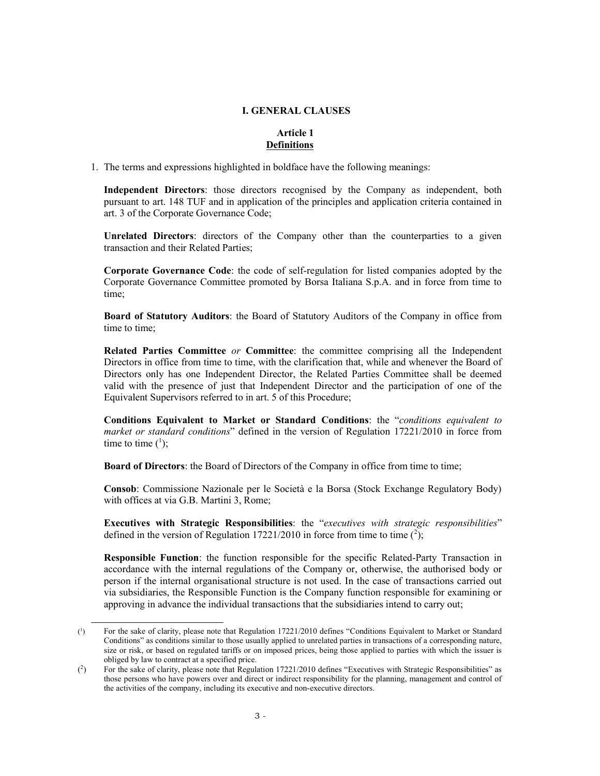### I. GENERAL CLAUSES

## Article 1 **Definitions**

1. The terms and expressions highlighted in boldface have the following meanings:

Independent Directors: those directors recognised by the Company as independent, both pursuant to art. 148 TUF and in application of the principles and application criteria contained in art. 3 of the Corporate Governance Code;

Unrelated Directors: directors of the Company other than the counterparties to a given transaction and their Related Parties;

Corporate Governance Code: the code of self-regulation for listed companies adopted by the Corporate Governance Committee promoted by Borsa Italiana S.p.A. and in force from time to time;

Board of Statutory Auditors: the Board of Statutory Auditors of the Company in office from time to time;

Related Parties Committee or Committee: the committee comprising all the Independent Directors in office from time to time, with the clarification that, while and whenever the Board of Directors only has one Independent Director, the Related Parties Committee shall be deemed valid with the presence of just that Independent Director and the participation of one of the Equivalent Supervisors referred to in art. 5 of this Procedure;

Conditions Equivalent to Market or Standard Conditions: the "conditions equivalent to market or standard conditions" defined in the version of Regulation 17221/2010 in force from time to time  $(^1)$ ;

Board of Directors: the Board of Directors of the Company in office from time to time;

Consob: Commissione Nazionale per le Società e la Borsa (Stock Exchange Regulatory Body) with offices at via G.B. Martini 3, Rome;

Executives with Strategic Responsibilities: the "executives with strategic responsibilities" defined in the version of Regulation 17221/2010 in force from time to time  $(^2)$ ;

Responsible Function: the function responsible for the specific Related-Party Transaction in accordance with the internal regulations of the Company or, otherwise, the authorised body or person if the internal organisational structure is not used. In the case of transactions carried out via subsidiaries, the Responsible Function is the Company function responsible for examining or approving in advance the individual transactions that the subsidiaries intend to carry out;

-

 $\binom{1}{1}$ ) For the sake of clarity, please note that Regulation 17221/2010 defines "Conditions Equivalent to Market or Standard Conditions" as conditions similar to those usually applied to unrelated parties in transactions of a corresponding nature, size or risk, or based on regulated tariffs or on imposed prices, being those applied to parties with which the issuer is obliged by law to contract at a specified price.

 $(2)$ ) For the sake of clarity, please note that Regulation 17221/2010 defines "Executives with Strategic Responsibilities" as those persons who have powers over and direct or indirect responsibility for the planning, management and control of the activities of the company, including its executive and non-executive directors.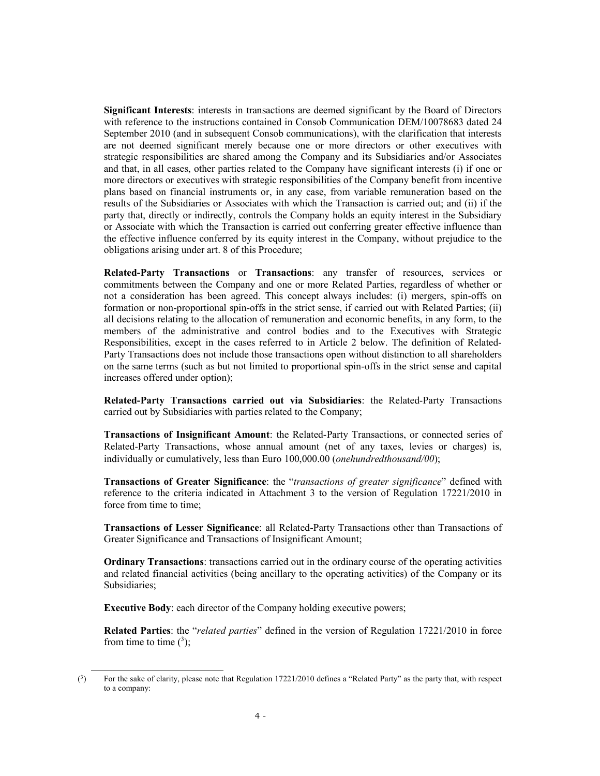Significant Interests: interests in transactions are deemed significant by the Board of Directors with reference to the instructions contained in Consob Communication DEM/10078683 dated 24 September 2010 (and in subsequent Consob communications), with the clarification that interests are not deemed significant merely because one or more directors or other executives with strategic responsibilities are shared among the Company and its Subsidiaries and/or Associates and that, in all cases, other parties related to the Company have significant interests (i) if one or more directors or executives with strategic responsibilities of the Company benefit from incentive plans based on financial instruments or, in any case, from variable remuneration based on the results of the Subsidiaries or Associates with which the Transaction is carried out; and (ii) if the party that, directly or indirectly, controls the Company holds an equity interest in the Subsidiary or Associate with which the Transaction is carried out conferring greater effective influence than the effective influence conferred by its equity interest in the Company, without prejudice to the obligations arising under art. 8 of this Procedure;

Related-Party Transactions or Transactions: any transfer of resources, services or commitments between the Company and one or more Related Parties, regardless of whether or not a consideration has been agreed. This concept always includes: (i) mergers, spin-offs on formation or non-proportional spin-offs in the strict sense, if carried out with Related Parties; (ii) all decisions relating to the allocation of remuneration and economic benefits, in any form, to the members of the administrative and control bodies and to the Executives with Strategic Responsibilities, except in the cases referred to in Article 2 below. The definition of Related-Party Transactions does not include those transactions open without distinction to all shareholders on the same terms (such as but not limited to proportional spin-offs in the strict sense and capital increases offered under option);

Related-Party Transactions carried out via Subsidiaries: the Related-Party Transactions carried out by Subsidiaries with parties related to the Company;

Transactions of Insignificant Amount: the Related-Party Transactions, or connected series of Related-Party Transactions, whose annual amount (net of any taxes, levies or charges) is, individually or cumulatively, less than Euro  $100,000.00$  (onehundredthousand/00);

Transactions of Greater Significance: the "transactions of greater significance" defined with reference to the criteria indicated in Attachment 3 to the version of Regulation 17221/2010 in force from time to time;

Transactions of Lesser Significance: all Related-Party Transactions other than Transactions of Greater Significance and Transactions of Insignificant Amount;

Ordinary Transactions: transactions carried out in the ordinary course of the operating activities and related financial activities (being ancillary to the operating activities) of the Company or its Subsidiaries;

Executive Body: each director of the Company holding executive powers;

Related Parties: the "*related parties*" defined in the version of Regulation 17221/2010 in force from time to time  $(^3)$ ;

ł

 $\binom{3}{ }$ ) For the sake of clarity, please note that Regulation 17221/2010 defines a "Related Party" as the party that, with respect to a company: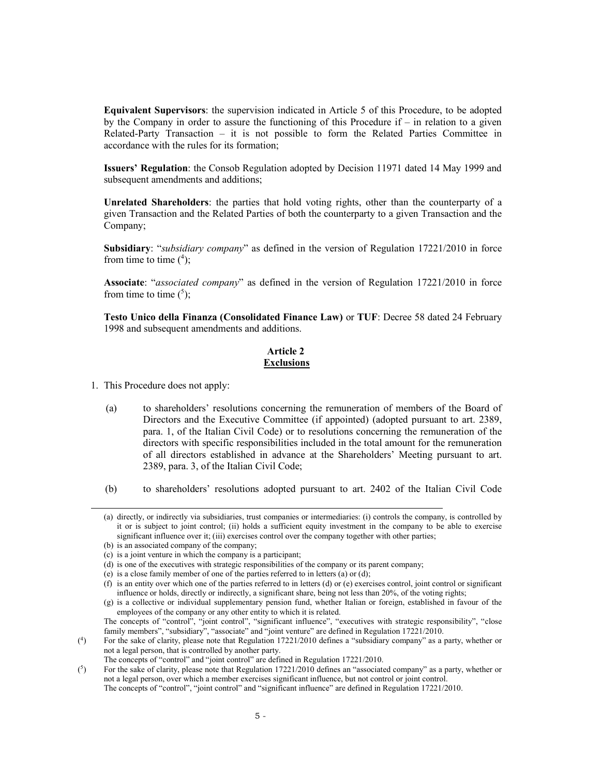Equivalent Supervisors: the supervision indicated in Article 5 of this Procedure, to be adopted by the Company in order to assure the functioning of this Procedure if  $-$  in relation to a given Related-Party Transaction – it is not possible to form the Related Parties Committee in accordance with the rules for its formation;

Issuers' Regulation: the Consob Regulation adopted by Decision 11971 dated 14 May 1999 and subsequent amendments and additions;

Unrelated Shareholders: the parties that hold voting rights, other than the counterparty of a given Transaction and the Related Parties of both the counterparty to a given Transaction and the Company;

Subsidiary: "subsidiary company" as defined in the version of Regulation 17221/2010 in force from time to time  $(^4)$ ;

Associate: "associated company" as defined in the version of Regulation 17221/2010 in force from time to time  $(5)$ ;

Testo Unico della Finanza (Consolidated Finance Law) or TUF: Decree 58 dated 24 February 1998 and subsequent amendments and additions.

## Article 2 **Exclusions**

1. This Procedure does not apply:

ł

- (a) to shareholders' resolutions concerning the remuneration of members of the Board of Directors and the Executive Committee (if appointed) (adopted pursuant to art. 2389, para. 1, of the Italian Civil Code) or to resolutions concerning the remuneration of the directors with specific responsibilities included in the total amount for the remuneration of all directors established in advance at the Shareholders' Meeting pursuant to art. 2389, para. 3, of the Italian Civil Code;
- (b) to shareholders' resolutions adopted pursuant to art. 2402 of the Italian Civil Code

 $($ <sup>4</sup> $)$ ) For the sake of clarity, please note that Regulation 17221/2010 defines a "subsidiary company" as a party, whether or not a legal person, that is controlled by another party.

<sup>(</sup>a) directly, or indirectly via subsidiaries, trust companies or intermediaries: (i) controls the company, is controlled by it or is subject to joint control; (ii) holds a sufficient equity investment in the company to be able to exercise significant influence over it; (iii) exercises control over the company together with other parties;

<sup>(</sup>b) is an associated company of the company;

<sup>(</sup>c) is a joint venture in which the company is a participant;

<sup>(</sup>d) is one of the executives with strategic responsibilities of the company or its parent company;

<sup>(</sup>e) is a close family member of one of the parties referred to in letters (a) or (d);

<sup>(</sup>f) is an entity over which one of the parties referred to in letters (d) or (e) exercises control, joint control or significant influence or holds, directly or indirectly, a significant share, being not less than 20%, of the voting rights;

<sup>(</sup>g) is a collective or individual supplementary pension fund, whether Italian or foreign, established in favour of the employees of the company or any other entity to which it is related.

The concepts of "control", "joint control", "significant influence", "executives with strategic responsibility", "close family members", "subsidiary", "associate" and "joint venture" are defined in Regulation 17221/2010.

The concepts of "control" and "joint control" are defined in Regulation 17221/2010.

 $\binom{5}{ }$ ) For the sake of clarity, please note that Regulation 17221/2010 defines an "associated company" as a party, whether or not a legal person, over which a member exercises significant influence, but not control or joint control. The concepts of "control", "joint control" and "significant influence" are defined in Regulation 17221/2010.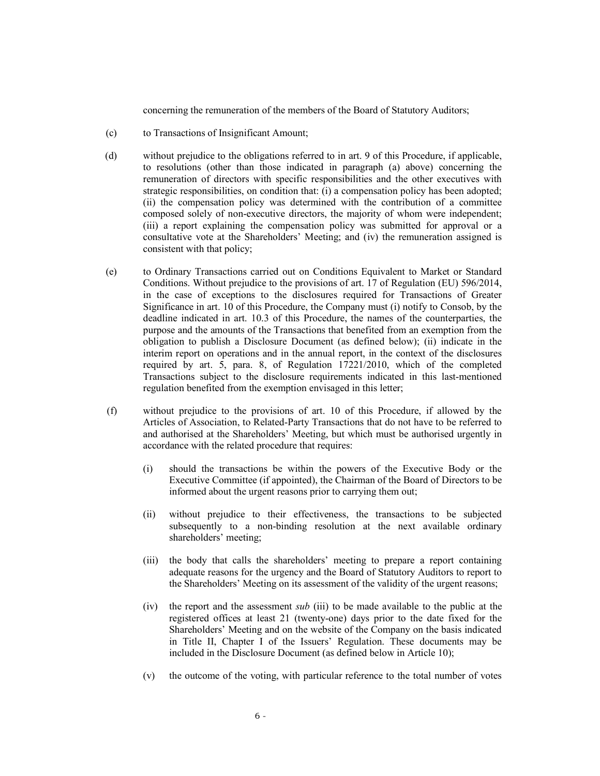concerning the remuneration of the members of the Board of Statutory Auditors;

- (c) to Transactions of Insignificant Amount;
- (d) without prejudice to the obligations referred to in art. 9 of this Procedure, if applicable, to resolutions (other than those indicated in paragraph (a) above) concerning the remuneration of directors with specific responsibilities and the other executives with strategic responsibilities, on condition that: (i) a compensation policy has been adopted; (ii) the compensation policy was determined with the contribution of a committee composed solely of non-executive directors, the majority of whom were independent; (iii) a report explaining the compensation policy was submitted for approval or a consultative vote at the Shareholders' Meeting; and (iv) the remuneration assigned is consistent with that policy;
- (e) to Ordinary Transactions carried out on Conditions Equivalent to Market or Standard Conditions. Without prejudice to the provisions of art. 17 of Regulation (EU) 596/2014, in the case of exceptions to the disclosures required for Transactions of Greater Significance in art. 10 of this Procedure, the Company must (i) notify to Consob, by the deadline indicated in art. 10.3 of this Procedure, the names of the counterparties, the purpose and the amounts of the Transactions that benefited from an exemption from the obligation to publish a Disclosure Document (as defined below); (ii) indicate in the interim report on operations and in the annual report, in the context of the disclosures required by art. 5, para. 8, of Regulation 17221/2010, which of the completed Transactions subject to the disclosure requirements indicated in this last-mentioned regulation benefited from the exemption envisaged in this letter;
- (f) without prejudice to the provisions of art. 10 of this Procedure, if allowed by the Articles of Association, to Related-Party Transactions that do not have to be referred to and authorised at the Shareholders' Meeting, but which must be authorised urgently in accordance with the related procedure that requires:
	- (i) should the transactions be within the powers of the Executive Body or the Executive Committee (if appointed), the Chairman of the Board of Directors to be informed about the urgent reasons prior to carrying them out;
	- (ii) without prejudice to their effectiveness, the transactions to be subjected subsequently to a non-binding resolution at the next available ordinary shareholders' meeting;
	- (iii) the body that calls the shareholders' meeting to prepare a report containing adequate reasons for the urgency and the Board of Statutory Auditors to report to the Shareholders' Meeting on its assessment of the validity of the urgent reasons;
	- (iv) the report and the assessment *sub* (iii) to be made available to the public at the registered offices at least 21 (twenty-one) days prior to the date fixed for the Shareholders' Meeting and on the website of the Company on the basis indicated in Title II, Chapter I of the Issuers' Regulation. These documents may be included in the Disclosure Document (as defined below in Article 10);
	- (v) the outcome of the voting, with particular reference to the total number of votes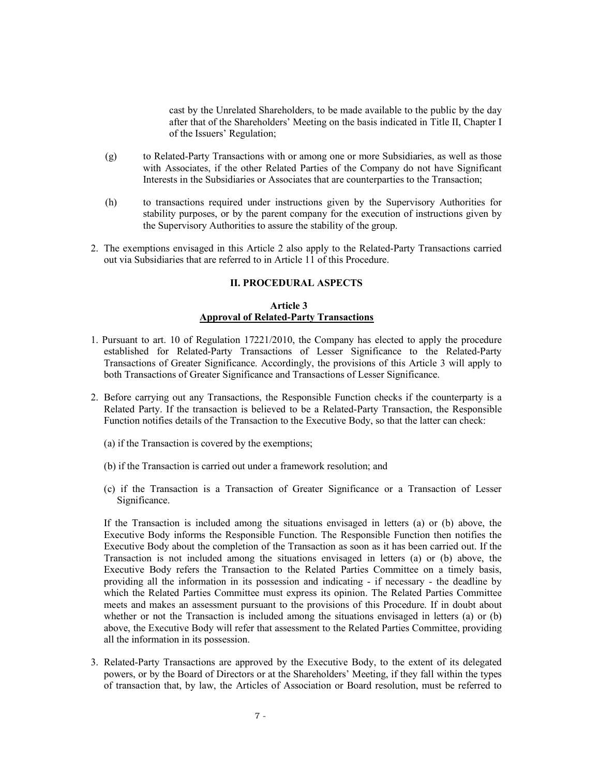cast by the Unrelated Shareholders, to be made available to the public by the day after that of the Shareholders' Meeting on the basis indicated in Title II, Chapter I of the Issuers' Regulation;

- (g) to Related-Party Transactions with or among one or more Subsidiaries, as well as those with Associates, if the other Related Parties of the Company do not have Significant Interests in the Subsidiaries or Associates that are counterparties to the Transaction;
- (h) to transactions required under instructions given by the Supervisory Authorities for stability purposes, or by the parent company for the execution of instructions given by the Supervisory Authorities to assure the stability of the group.
- 2. The exemptions envisaged in this Article 2 also apply to the Related-Party Transactions carried out via Subsidiaries that are referred to in Article 11 of this Procedure.

#### II. PROCEDURAL ASPECTS

#### Article 3 Approval of Related-Party Transactions

- 1. Pursuant to art. 10 of Regulation 17221/2010, the Company has elected to apply the procedure established for Related-Party Transactions of Lesser Significance to the Related-Party Transactions of Greater Significance. Accordingly, the provisions of this Article 3 will apply to both Transactions of Greater Significance and Transactions of Lesser Significance.
- 2. Before carrying out any Transactions, the Responsible Function checks if the counterparty is a Related Party. If the transaction is believed to be a Related-Party Transaction, the Responsible Function notifies details of the Transaction to the Executive Body, so that the latter can check:
	- (a) if the Transaction is covered by the exemptions;
	- (b) if the Transaction is carried out under a framework resolution; and
	- (c) if the Transaction is a Transaction of Greater Significance or a Transaction of Lesser Significance.

If the Transaction is included among the situations envisaged in letters (a) or (b) above, the Executive Body informs the Responsible Function. The Responsible Function then notifies the Executive Body about the completion of the Transaction as soon as it has been carried out. If the Transaction is not included among the situations envisaged in letters (a) or (b) above, the Executive Body refers the Transaction to the Related Parties Committee on a timely basis, providing all the information in its possession and indicating - if necessary - the deadline by which the Related Parties Committee must express its opinion. The Related Parties Committee meets and makes an assessment pursuant to the provisions of this Procedure. If in doubt about whether or not the Transaction is included among the situations envisaged in letters (a) or (b) above, the Executive Body will refer that assessment to the Related Parties Committee, providing all the information in its possession.

3. Related-Party Transactions are approved by the Executive Body, to the extent of its delegated powers, or by the Board of Directors or at the Shareholders' Meeting, if they fall within the types of transaction that, by law, the Articles of Association or Board resolution, must be referred to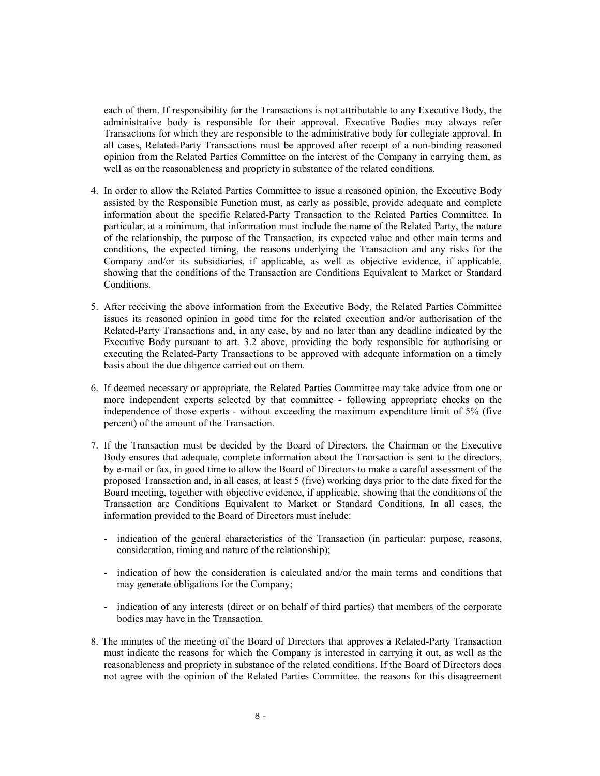each of them. If responsibility for the Transactions is not attributable to any Executive Body, the administrative body is responsible for their approval. Executive Bodies may always refer Transactions for which they are responsible to the administrative body for collegiate approval. In all cases, Related-Party Transactions must be approved after receipt of a non-binding reasoned opinion from the Related Parties Committee on the interest of the Company in carrying them, as well as on the reasonableness and propriety in substance of the related conditions.

- 4. In order to allow the Related Parties Committee to issue a reasoned opinion, the Executive Body assisted by the Responsible Function must, as early as possible, provide adequate and complete information about the specific Related-Party Transaction to the Related Parties Committee. In particular, at a minimum, that information must include the name of the Related Party, the nature of the relationship, the purpose of the Transaction, its expected value and other main terms and conditions, the expected timing, the reasons underlying the Transaction and any risks for the Company and/or its subsidiaries, if applicable, as well as objective evidence, if applicable, showing that the conditions of the Transaction are Conditions Equivalent to Market or Standard Conditions.
- 5. After receiving the above information from the Executive Body, the Related Parties Committee issues its reasoned opinion in good time for the related execution and/or authorisation of the Related-Party Transactions and, in any case, by and no later than any deadline indicated by the Executive Body pursuant to art. 3.2 above, providing the body responsible for authorising or executing the Related-Party Transactions to be approved with adequate information on a timely basis about the due diligence carried out on them.
- 6. If deemed necessary or appropriate, the Related Parties Committee may take advice from one or more independent experts selected by that committee - following appropriate checks on the independence of those experts - without exceeding the maximum expenditure limit of 5% (five percent) of the amount of the Transaction.
- 7. If the Transaction must be decided by the Board of Directors, the Chairman or the Executive Body ensures that adequate, complete information about the Transaction is sent to the directors, by e-mail or fax, in good time to allow the Board of Directors to make a careful assessment of the proposed Transaction and, in all cases, at least 5 (five) working days prior to the date fixed for the Board meeting, together with objective evidence, if applicable, showing that the conditions of the Transaction are Conditions Equivalent to Market or Standard Conditions. In all cases, the information provided to the Board of Directors must include:
	- indication of the general characteristics of the Transaction (in particular: purpose, reasons, consideration, timing and nature of the relationship);
	- indication of how the consideration is calculated and/or the main terms and conditions that may generate obligations for the Company;
	- indication of any interests (direct or on behalf of third parties) that members of the corporate bodies may have in the Transaction.
- 8. The minutes of the meeting of the Board of Directors that approves a Related-Party Transaction must indicate the reasons for which the Company is interested in carrying it out, as well as the reasonableness and propriety in substance of the related conditions. If the Board of Directors does not agree with the opinion of the Related Parties Committee, the reasons for this disagreement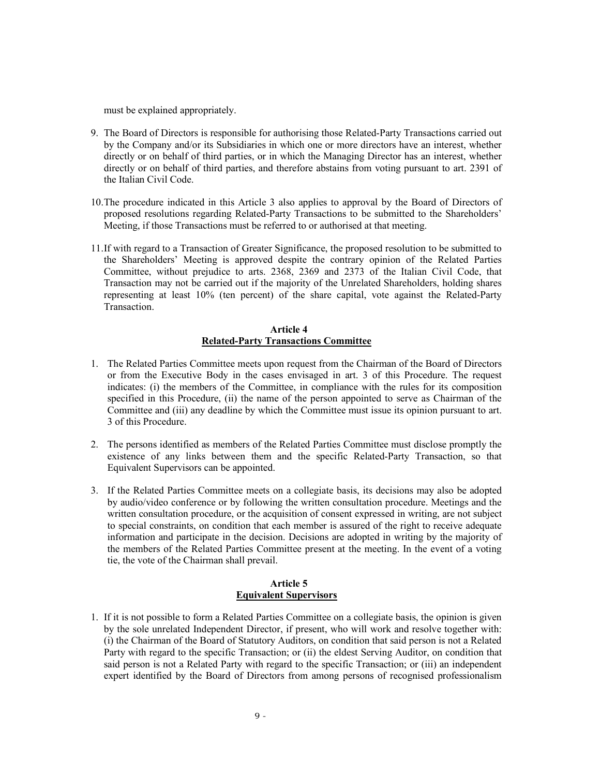must be explained appropriately.

- 9. The Board of Directors is responsible for authorising those Related-Party Transactions carried out by the Company and/or its Subsidiaries in which one or more directors have an interest, whether directly or on behalf of third parties, or in which the Managing Director has an interest, whether directly or on behalf of third parties, and therefore abstains from voting pursuant to art. 2391 of the Italian Civil Code.
- 10.The procedure indicated in this Article 3 also applies to approval by the Board of Directors of proposed resolutions regarding Related-Party Transactions to be submitted to the Shareholders' Meeting, if those Transactions must be referred to or authorised at that meeting.
- 11.If with regard to a Transaction of Greater Significance, the proposed resolution to be submitted to the Shareholders' Meeting is approved despite the contrary opinion of the Related Parties Committee, without prejudice to arts. 2368, 2369 and 2373 of the Italian Civil Code, that Transaction may not be carried out if the majority of the Unrelated Shareholders, holding shares representing at least 10% (ten percent) of the share capital, vote against the Related-Party Transaction.

## Article 4 Related-Party Transactions Committee

- 1. The Related Parties Committee meets upon request from the Chairman of the Board of Directors or from the Executive Body in the cases envisaged in art. 3 of this Procedure. The request indicates: (i) the members of the Committee, in compliance with the rules for its composition specified in this Procedure, (ii) the name of the person appointed to serve as Chairman of the Committee and (iii) any deadline by which the Committee must issue its opinion pursuant to art. 3 of this Procedure.
- 2. The persons identified as members of the Related Parties Committee must disclose promptly the existence of any links between them and the specific Related-Party Transaction, so that Equivalent Supervisors can be appointed.
- 3. If the Related Parties Committee meets on a collegiate basis, its decisions may also be adopted by audio/video conference or by following the written consultation procedure. Meetings and the written consultation procedure, or the acquisition of consent expressed in writing, are not subject to special constraints, on condition that each member is assured of the right to receive adequate information and participate in the decision. Decisions are adopted in writing by the majority of the members of the Related Parties Committee present at the meeting. In the event of a voting tie, the vote of the Chairman shall prevail.

## Article 5 Equivalent Supervisors

1. If it is not possible to form a Related Parties Committee on a collegiate basis, the opinion is given by the sole unrelated Independent Director, if present, who will work and resolve together with: (i) the Chairman of the Board of Statutory Auditors, on condition that said person is not a Related Party with regard to the specific Transaction; or (ii) the eldest Serving Auditor, on condition that said person is not a Related Party with regard to the specific Transaction; or (iii) an independent expert identified by the Board of Directors from among persons of recognised professionalism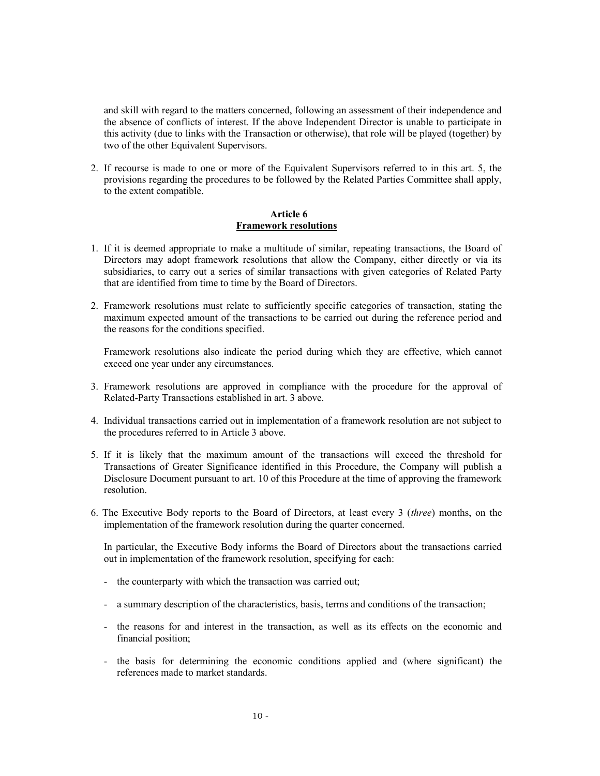and skill with regard to the matters concerned, following an assessment of their independence and the absence of conflicts of interest. If the above Independent Director is unable to participate in this activity (due to links with the Transaction or otherwise), that role will be played (together) by two of the other Equivalent Supervisors.

2. If recourse is made to one or more of the Equivalent Supervisors referred to in this art. 5, the provisions regarding the procedures to be followed by the Related Parties Committee shall apply, to the extent compatible.

#### Article 6 Framework resolutions

- 1. If it is deemed appropriate to make a multitude of similar, repeating transactions, the Board of Directors may adopt framework resolutions that allow the Company, either directly or via its subsidiaries, to carry out a series of similar transactions with given categories of Related Party that are identified from time to time by the Board of Directors.
- 2. Framework resolutions must relate to sufficiently specific categories of transaction, stating the maximum expected amount of the transactions to be carried out during the reference period and the reasons for the conditions specified.

Framework resolutions also indicate the period during which they are effective, which cannot exceed one year under any circumstances.

- 3. Framework resolutions are approved in compliance with the procedure for the approval of Related-Party Transactions established in art. 3 above.
- 4. Individual transactions carried out in implementation of a framework resolution are not subject to the procedures referred to in Article 3 above.
- 5. If it is likely that the maximum amount of the transactions will exceed the threshold for Transactions of Greater Significance identified in this Procedure, the Company will publish a Disclosure Document pursuant to art. 10 of this Procedure at the time of approving the framework resolution.
- 6. The Executive Body reports to the Board of Directors, at least every 3 (three) months, on the implementation of the framework resolution during the quarter concerned.

In particular, the Executive Body informs the Board of Directors about the transactions carried out in implementation of the framework resolution, specifying for each:

- the counterparty with which the transaction was carried out;
- a summary description of the characteristics, basis, terms and conditions of the transaction;
- the reasons for and interest in the transaction, as well as its effects on the economic and financial position;
- the basis for determining the economic conditions applied and (where significant) the references made to market standards.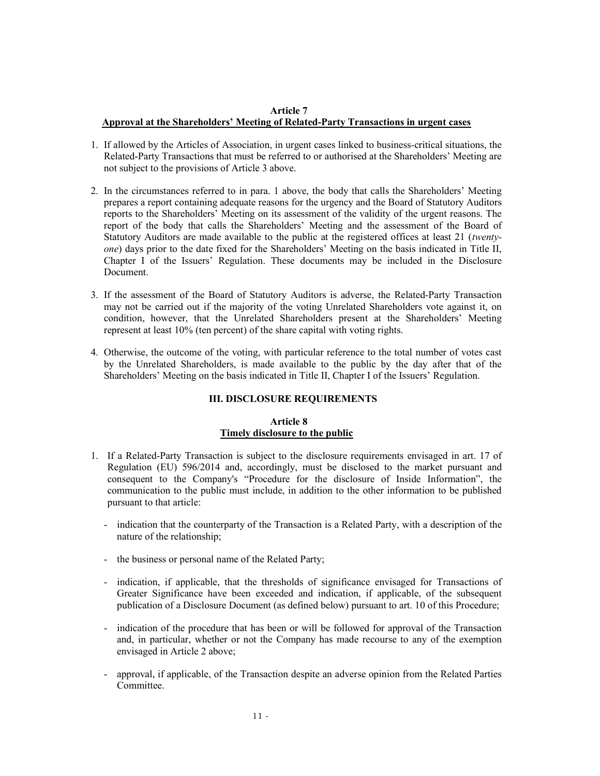### Article 7 Approval at the Shareholders' Meeting of Related-Party Transactions in urgent cases

- 1. If allowed by the Articles of Association, in urgent cases linked to business-critical situations, the Related-Party Transactions that must be referred to or authorised at the Shareholders' Meeting are not subject to the provisions of Article 3 above.
- 2. In the circumstances referred to in para. 1 above, the body that calls the Shareholders' Meeting prepares a report containing adequate reasons for the urgency and the Board of Statutory Auditors reports to the Shareholders' Meeting on its assessment of the validity of the urgent reasons. The report of the body that calls the Shareholders' Meeting and the assessment of the Board of Statutory Auditors are made available to the public at the registered offices at least 21 (twentyone) days prior to the date fixed for the Shareholders' Meeting on the basis indicated in Title II, Chapter I of the Issuers' Regulation. These documents may be included in the Disclosure Document.
- 3. If the assessment of the Board of Statutory Auditors is adverse, the Related-Party Transaction may not be carried out if the majority of the voting Unrelated Shareholders vote against it, on condition, however, that the Unrelated Shareholders present at the Shareholders' Meeting represent at least 10% (ten percent) of the share capital with voting rights.
- 4. Otherwise, the outcome of the voting, with particular reference to the total number of votes cast by the Unrelated Shareholders, is made available to the public by the day after that of the Shareholders' Meeting on the basis indicated in Title II, Chapter I of the Issuers' Regulation.

# III. DISCLOSURE REQUIREMENTS

## Article 8 Timely disclosure to the public

- 1. If a Related-Party Transaction is subject to the disclosure requirements envisaged in art. 17 of Regulation (EU) 596/2014 and, accordingly, must be disclosed to the market pursuant and consequent to the Company's "Procedure for the disclosure of Inside Information", the communication to the public must include, in addition to the other information to be published pursuant to that article:
	- indication that the counterparty of the Transaction is a Related Party, with a description of the nature of the relationship;
	- the business or personal name of the Related Party;
	- indication, if applicable, that the thresholds of significance envisaged for Transactions of Greater Significance have been exceeded and indication, if applicable, of the subsequent publication of a Disclosure Document (as defined below) pursuant to art. 10 of this Procedure;
	- indication of the procedure that has been or will be followed for approval of the Transaction and, in particular, whether or not the Company has made recourse to any of the exemption envisaged in Article 2 above;
	- approval, if applicable, of the Transaction despite an adverse opinion from the Related Parties Committee.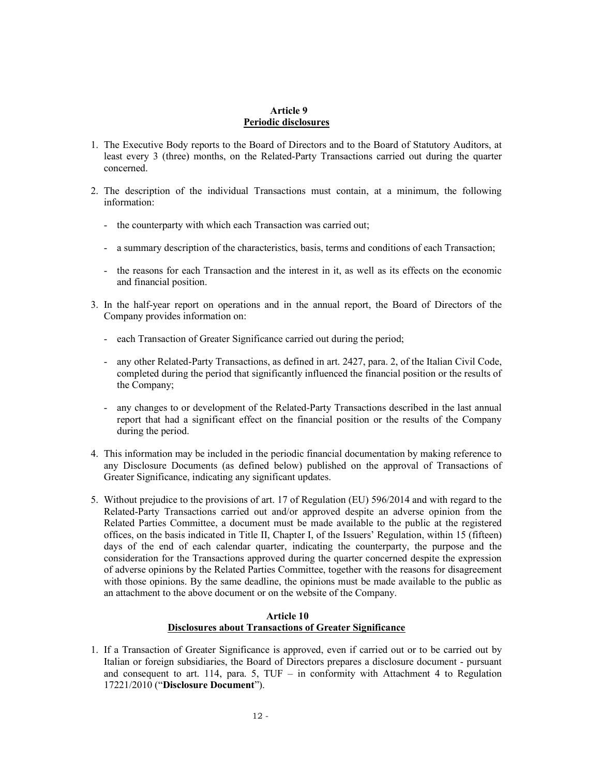### Article 9 Periodic disclosures

- 1. The Executive Body reports to the Board of Directors and to the Board of Statutory Auditors, at least every 3 (three) months, on the Related-Party Transactions carried out during the quarter concerned.
- 2. The description of the individual Transactions must contain, at a minimum, the following information:
	- the counterparty with which each Transaction was carried out;
	- a summary description of the characteristics, basis, terms and conditions of each Transaction;
	- the reasons for each Transaction and the interest in it, as well as its effects on the economic and financial position.
- 3. In the half-year report on operations and in the annual report, the Board of Directors of the Company provides information on:
	- each Transaction of Greater Significance carried out during the period;
	- any other Related-Party Transactions, as defined in art. 2427, para. 2, of the Italian Civil Code, completed during the period that significantly influenced the financial position or the results of the Company;
	- any changes to or development of the Related-Party Transactions described in the last annual report that had a significant effect on the financial position or the results of the Company during the period.
- 4. This information may be included in the periodic financial documentation by making reference to any Disclosure Documents (as defined below) published on the approval of Transactions of Greater Significance, indicating any significant updates.
- 5. Without prejudice to the provisions of art. 17 of Regulation (EU) 596/2014 and with regard to the Related-Party Transactions carried out and/or approved despite an adverse opinion from the Related Parties Committee, a document must be made available to the public at the registered offices, on the basis indicated in Title II, Chapter I, of the Issuers' Regulation, within 15 (fifteen) days of the end of each calendar quarter, indicating the counterparty, the purpose and the consideration for the Transactions approved during the quarter concerned despite the expression of adverse opinions by the Related Parties Committee, together with the reasons for disagreement with those opinions. By the same deadline, the opinions must be made available to the public as an attachment to the above document or on the website of the Company.

## Article 10 Disclosures about Transactions of Greater Significance

1. If a Transaction of Greater Significance is approved, even if carried out or to be carried out by Italian or foreign subsidiaries, the Board of Directors prepares a disclosure document - pursuant and consequent to art. 114, para. 5,  $TUF - in$  conformity with Attachment 4 to Regulation 17221/2010 ("Disclosure Document").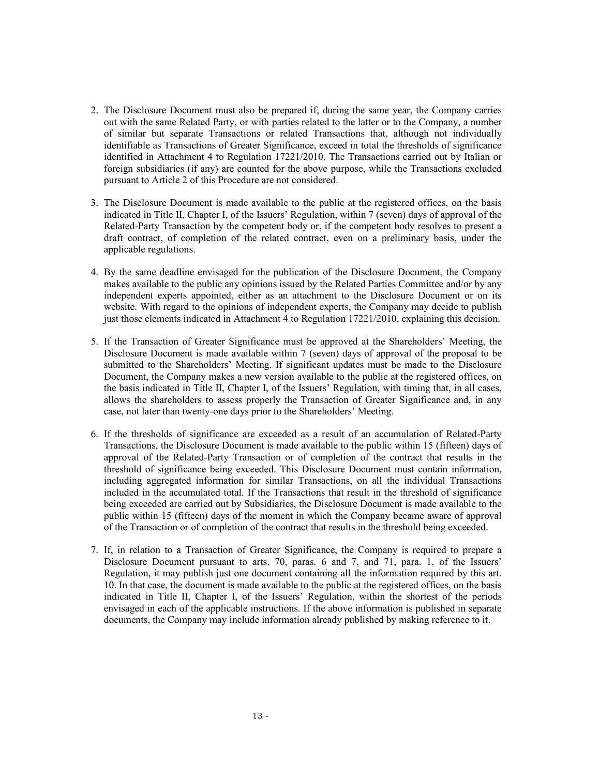- 2. The Disclosure Document must also be prepared if, during the same year, the Company carries out with the same Related Party, or with parties related to the latter or to the Company, a number of similar but separate Transactions or related Transactions that, although not individually identifiable as Transactions of Greater Significance, exceed in total the thresholds of significance identified in Attachment 4 to Regulation 17221/2010. The Transactions carried out by Italian or foreign subsidiaries (if any) are counted for the above purpose, while the Transactions excluded pursuant to Article 2 of this Procedure are not considered.
- 3. The Disclosure Document is made available to the public at the registered offices, on the basis indicated in Title II, Chapter I, of the Issuers' Regulation, within 7 (seven) days of approval of the Related-Party Transaction by the competent body or, if the competent body resolves to present a draft contract, of completion of the related contract, even on a preliminary basis, under the applicable regulations.
- 4. By the same deadline envisaged for the publication of the Disclosure Document, the Company makes available to the public any opinions issued by the Related Parties Committee and/or by any independent experts appointed, either as an attachment to the Disclosure Document or on its website. With regard to the opinions of independent experts, the Company may decide to publish just those elements indicated in Attachment 4 to Regulation 17221/2010, explaining this decision.
- 5. If the Transaction of Greater Significance must be approved at the Shareholders' Meeting, the Disclosure Document is made available within 7 (seven) days of approval of the proposal to be submitted to the Shareholders' Meeting. If significant updates must be made to the Disclosure Document, the Company makes a new version available to the public at the registered offices, on the basis indicated in Title II, Chapter I, of the Issuers' Regulation, with timing that, in all cases, allows the shareholders to assess properly the Transaction of Greater Significance and, in any case, not later than twenty-one days prior to the Shareholders' Meeting.
- 6. If the thresholds of significance are exceeded as a result of an accumulation of Related-Party Transactions, the Disclosure Document is made available to the public within 15 (fifteen) days of approval of the Related-Party Transaction or of completion of the contract that results in the threshold of significance being exceeded. This Disclosure Document must contain information, including aggregated information for similar Transactions, on all the individual Transactions included in the accumulated total. If the Transactions that result in the threshold of significance being exceeded are carried out by Subsidiaries, the Disclosure Document is made available to the public within 15 (fifteen) days of the moment in which the Company became aware of approval of the Transaction or of completion of the contract that results in the threshold being exceeded.
- 7. If, in relation to a Transaction of Greater Significance, the Company is required to prepare a Disclosure Document pursuant to arts. 70, paras. 6 and 7, and 71, para. 1, of the Issuers' Regulation, it may publish just one document containing all the information required by this art. 10. In that case, the document is made available to the public at the registered offices, on the basis indicated in Title II, Chapter I, of the Issuers' Regulation, within the shortest of the periods envisaged in each of the applicable instructions. If the above information is published in separate documents, the Company may include information already published by making reference to it.